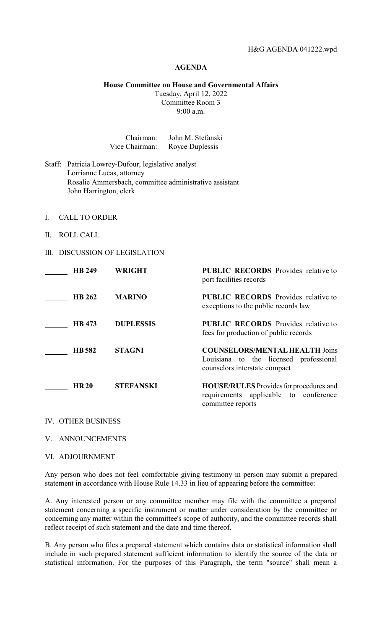## **AGENDA**

## **House Committee on House and Governmental Affairs**

Tuesday, April 12, 2022 Committee Room 3 9:00 a.m.

| Chairman:      | John M. Stefanski |
|----------------|-------------------|
| Vice Chairman: | Royce Duplessis   |

- Staff: Patricia Lowrey-Dufour, legislative analyst Lorrianne Lucas, attorney Rosalie Ammersbach, committee administrative assistant John Harrington, clerk
- I. CALL TO ORDER
- II. ROLL CALL
- III. DISCUSSION OF LEGISLATION

| <b>HB 249</b> | <b>WRIGHT</b>    | <b>PUBLIC RECORDS</b> Provides relative to<br>port facilities records                                            |
|---------------|------------------|------------------------------------------------------------------------------------------------------------------|
| <b>HB 262</b> | <b>MARINO</b>    | <b>PUBLIC RECORDS</b> Provides relative to<br>exceptions to the public records law                               |
| <b>HB</b> 473 | <b>DUPLESSIS</b> | <b>PUBLIC RECORDS</b> Provides relative to<br>fees for production of public records                              |
| <b>HB</b> 582 | <b>STAGNI</b>    | <b>COUNSELORS/MENTAL HEALTH Joins</b><br>Louisiana to the licensed professional<br>counselors interstate compact |
| <b>HR 20</b>  | <b>STEFANSKI</b> | <b>HOUSE/RULES</b> Provides for procedures and<br>requirements applicable to conference<br>committee reports     |

IV. OTHER BUSINESS

V. ANNOUNCEMENTS

VI. ADJOURNMENT

Any person who does not feel comfortable giving testimony in person may submit a prepared statement in accordance with House Rule 14.33 in lieu of appearing before the committee:

A. Any interested person or any committee member may file with the committee a prepared statement concerning a specific instrument or matter under consideration by the committee or concerning any matter within the committee's scope of authority, and the committee records shall reflect receipt of such statement and the date and time thereof.

B. Any person who files a prepared statement which contains data or statistical information shall include in such prepared statement sufficient information to identify the source of the data or statistical information. For the purposes of this Paragraph, the term "source" shall mean a